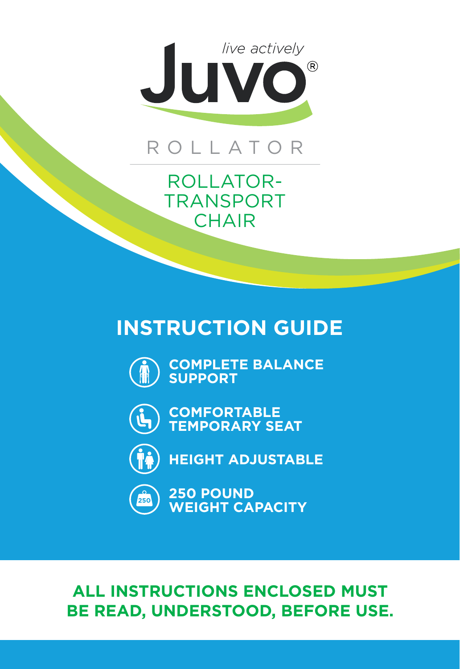

## ROLLATOR

ROLLATOR-TRANSPORT **CHAIR** 

## **INSTRUCTION GUIDE**



**COMPLETE BALANCE SUPPORT**



**COMFORTABLE TEMPORARY SEAT**



**HEIGHT ADJUSTABLE**



**250 POUND WEIGHT CAPACITY**

## **ALL INSTRUCTIONS ENCLOSED MUST BE READ, UNDERSTOOD, BEFORE USE.**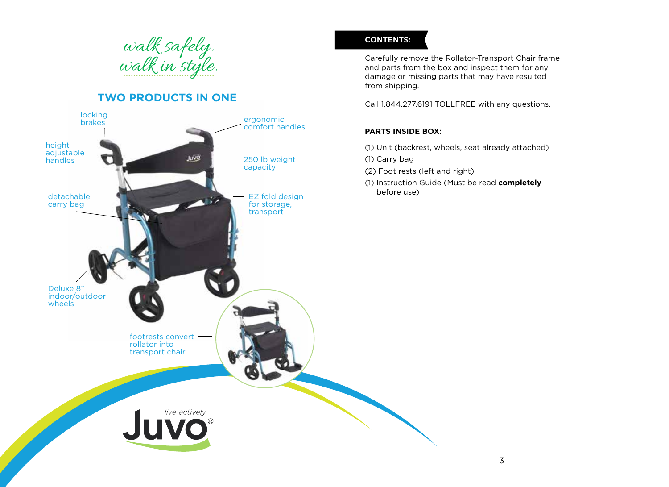

## **TWO PRODUCTS IN ONE**



#### **CONTENTS:**

Carefully remove the Rollator-Transport Chair frame and parts from the box and inspect them for any damage or missing parts that may have resulted from shipping.

Call 1.844.277.6191 TOLLFREE with any questions.

#### **PARTS INSIDE BOX:**

- (1) Unit (backrest, wheels, seat already attached)
- (1) Carry bag
- (2) Foot rests (left and right)
- (1) Instruction Guide (Must be read **completely** before use)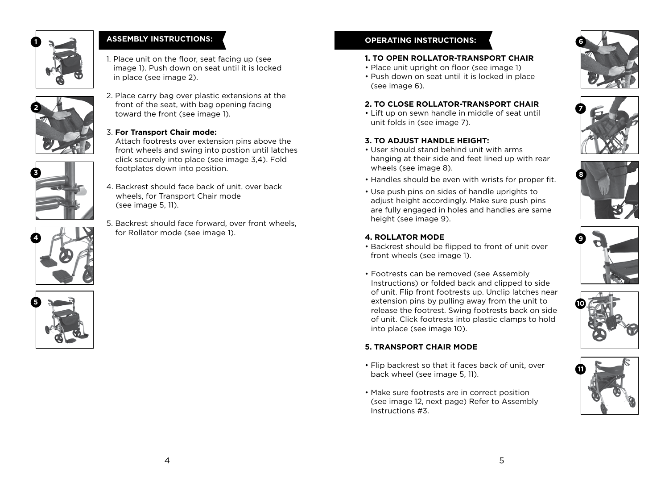

### **ASSEMBLY INSTRUCTIONS:**

1. Place unit on the floor, seat facing up (see image 1). Push down on seat until it is locked in place (see image 2).





**5**

**4**



#### 3. **For Transport Chair mode:**

Attach footrests over extension pins above the front wheels and swing into postion until latches click securely into place (see image 3,4). Fold footplates down into position.

- 4. Backrest should face back of unit, over back wheels, for Transport Chair mode (see image 5, 11).
- 5. Backrest should face forward, over front wheels, for Rollator mode (see image 1).

#### **OPERATING INSTRUCTIONS:**

#### **1. TO OPEN ROLLATOR-TRANSPORT CHAIR**

- Place unit upright on floor (see image 1)
- Push down on seat until it is locked in place (see image 6).

#### **2. TO CLOSE ROLLATOR-TRANSPORT CHAIR**

• Lift up on sewn handle in middle of seat until unit folds in (see image 7).

#### **3. TO ADJUST HANDLE HEIGHT:**

- User should stand behind unit with arms hanging at their side and feet lined up with rear wheels (see image 8).
- Handles should be even with wrists for proper fit.
- Use push pins on sides of handle uprights to adjust height accordingly. Make sure push pins are fully engaged in holes and handles are same height (see image 9).

#### **4. ROLLATOR MODE**

- Backrest should be flipped to front of unit over front wheels (see image 1).
- Footrests can be removed (see Assembly Instructions) or folded back and clipped to side of unit. Flip front footrests up. Unclip latches near extension pins by pulling away from the unit to release the footrest. Swing footrests back on side of unit. Click footrests into plastic clamps to hold into place (see image 10).

#### **5. TRANSPORT CHAIR MODE**

- Flip backrest so that it faces back of unit, over back wheel (see image 5, 11).
- Make sure footrests are in correct position (see image 12, next page) Refer to Assembly Instructions #3.











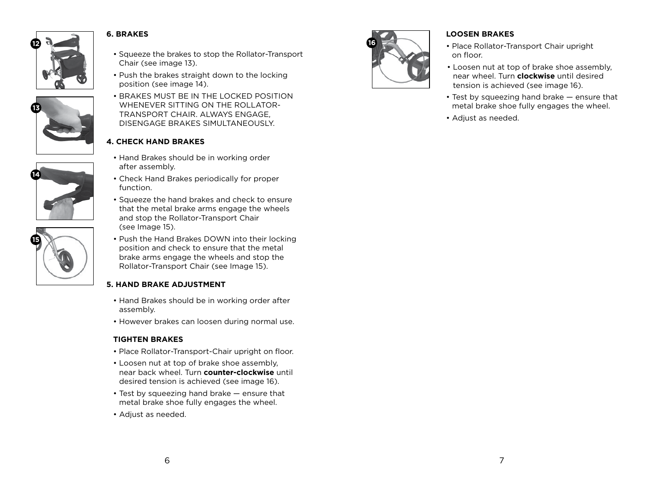

#### **6. BRAKES**



# **14**



- Squeeze the brakes to stop the Rollator-Transport Chair (see image 13).
- Push the brakes straight down to the locking position (see image 14).
- BRAKES MUST BE IN THE LOCKED POSITION WHENEVER SITTING ON THE ROLLATOR-TRANSPORT CHAIR. ALWAYS ENGAGE, DISENGAGE BRAKES SIMULTANEOUSLY.

#### **4. CHECK HAND BRAKES**

- Hand Brakes should be in working order after assembly.
- Check Hand Brakes periodically for proper function.
- Squeeze the hand brakes and check to ensure that the metal brake arms engage the wheels and stop the Rollator-Transport Chair (see Image 15).
- Push the Hand Brakes DOWN into their locking position and check to ensure that the metal brake arms engage the wheels and stop the Rollator-Transport Chair (see Image 15).

#### **5. HAND BRAKE ADJUSTMENT**

- Hand Brakes should be in working order after assembly.
- However brakes can loosen during normal use.

#### **TIGHTEN BRAKES**

- Place Rollator-Transport-Chair upright on floor.
- Loosen nut at top of brake shoe assembly, near back wheel. Turn **counter-clockwise** until desired tension is achieved (see image 16).
- Test by squeezing hand brake ensure that metal brake shoe fully engages the wheel.
- Adjust as needed.



#### **LOOSEN BRAKES**

- Place Rollator-Transport Chair upright on floor.
- Loosen nut at top of brake shoe assembly, near wheel. Turn **clockwise** until desired tension is achieved (see image 16).
- Test by squeezing hand brake ensure that metal brake shoe fully engages the wheel.
- Adjust as needed.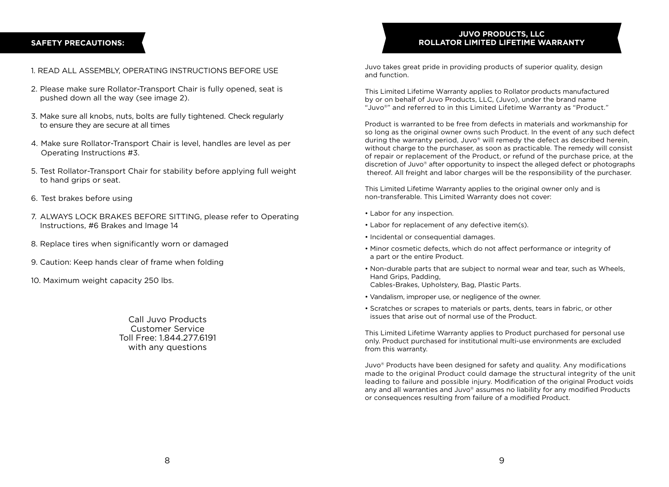#### **SAFETY PRECAUTIONS:**

#### 1. READ ALL ASSEMBLY, OPERATING INSTRUCTIONS BEFORE USE

- 2. Please make sure Rollator-Transport Chair is fully opened, seat is pushed down all the way (see image 2).
- 3. Make sure all knobs, nuts, bolts are fully tightened. Check regularly to ensure they are secure at all times
- 4. Make sure Rollator-Transport Chair is level, handles are level as per Operating Instructions #3.
- 5. Test Rollator-Transport Chair for stability before applying full weight to hand grips or seat.
- 6. Test brakes before using
- 7. ALWAYS LOCK BRAKES BEFORE SITTING, please refer to Operating Instructions, #6 Brakes and Image 14
- 8. Replace tires when significantly worn or damaged
- 9. Caution: Keep hands clear of frame when folding
- 10. Maximum weight capacity 250 lbs.

Call Juvo Products Customer Service Toll Free: 1.844.277.6191 with any questions

#### **JUVO PRODUCTS, LLC ROLLATOR LIMITED LIFETIME WARRANTY**

Juvo takes great pride in providing products of superior quality, design and function.

This Limited Lifetime Warranty applies to Rollator products manufactured by or on behalf of Juvo Products, LLC, (Juvo), under the brand name "Juvo®" and referred to in this Limited Lifetime Warranty as "Product."

Product is warranted to be free from defects in materials and workmanship for so long as the original owner owns such Product. In the event of any such defect during the warranty period, Juvo® will remedy the defect as described herein, without charge to the purchaser, as soon as practicable. The remedy will consist of repair or replacement of the Product, or refund of the purchase price, at the discretion of Juvo® after opportunity to inspect the alleged defect or photographs thereof. All freight and labor charges will be the responsibility of the purchaser.

This Limited Lifetime Warranty applies to the original owner only and is non-transferable. This Limited Warranty does not cover:

- Labor for any inspection.
- Labor for replacement of any defective item(s).
- Incidental or consequential damages.
- Minor cosmetic defects, which do not affect performance or integrity of a part or the entire Product.
- Non-durable parts that are subject to normal wear and tear, such as Wheels, Hand Grips, Padding, Cables-Brakes, Upholstery, Bag, Plastic Parts.
- Vandalism, improper use, or negligence of the owner.
- Scratches or scrapes to materials or parts, dents, tears in fabric, or other issues that arise out of normal use of the Product.

This Limited Lifetime Warranty applies to Product purchased for personal use only. Product purchased for institutional multi-use environments are excluded from this warranty.

Juvo® Products have been designed for safety and quality. Any modifications made to the original Product could damage the structural integrity of the unit leading to failure and possible injury. Modification of the original Product voids any and all warranties and Juvo® assumes no liability for any modified Products or consequences resulting from failure of a modified Product.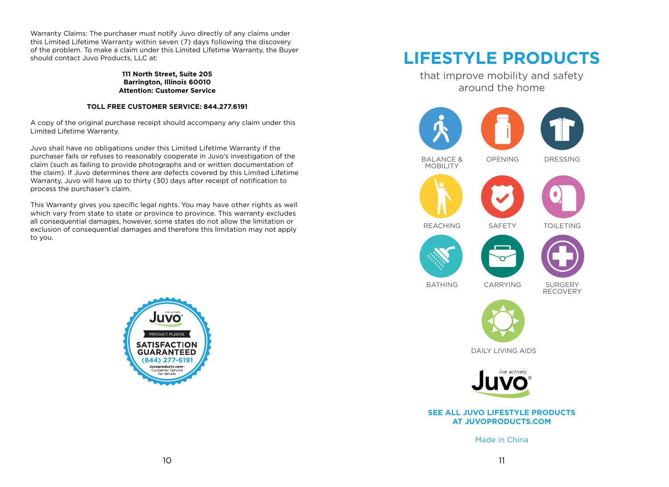Warranty Claims: The purchaser must notify Juvo directly of any claims under this Limited Lifetime Warranty within seven (7) days following the discovery of the problem. To make a claim under this Limited Lifetime Warranty, the Buyer should contact Juvo Products, LLC at:

> **111 North Street, Suite 205 Barrington, Illinois 60010 Attention: Customer Service**

#### **TOLL FREE CUSTOMER SERVICE: 844.277.6191**

A copy of the original purchase receipt should accompany any claim under this Limited Lifetime Warranty.

Juvo shall have no obligations under this Limited Lifetime Warranty if the purchaser fails or refuses to reasonably cooperate in Juvo's investigation of the claim (such as failing to provide photographs and or written documentation of the claim). If Juvo determines there are defects covered by this Limited Lifetime Warranty, Juvo will have up to thirty (30) days after receipt of notification to process the purchaser's claim.

This Warranty gives you specific legal rights. You may have other rights as well which vary from state to state or province to province. This warranty excludes all consequential damages, however, some states do not allow the limitation or exclusion of consequential damages and therefore this limitation may not apply to you.



# **LIFESTYLE PRODUCTS**

that improve mobility and safety around the home







DRESSING





**SAFFTY** 

OPENING



REACHING

TOILETING







BATHING

**SURGERY** RECOVERY



CARRYING

DAILY LIVING AIDS



#### **SEE ALL JUVO LIFESTYLE PRODUCTS AT JUVOPRODUCTS.COM**

Made in China